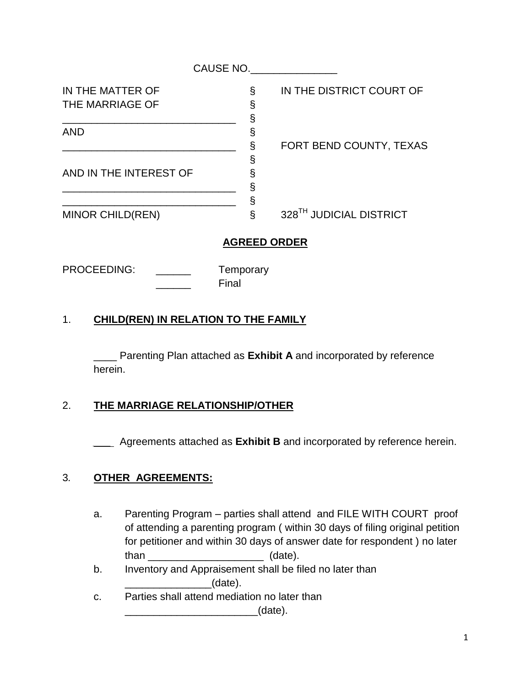| IN THE MATTER OF        | §    |
|-------------------------|------|
| THE MARRIAGE OF         | §    |
|                         | $\S$ |
| <b>AND</b>              | §    |
|                         | $\S$ |
|                         | §    |
| AND IN THE INTEREST OF  | $\S$ |
|                         | $\S$ |
|                         | §    |
| <b>MINOR CHILD(REN)</b> |      |

IN THE DISTRICT COURT OF

FORT BEND COUNTY, TEXAS

328<sup>TH</sup> JUDICIAL DISTRICT

## **AGREED ORDER**

PROCEEDING: \_\_\_\_\_\_\_ Temporary

Final

## 1. **CHILD(REN) IN RELATION TO THE FAMILY**

\_\_\_\_ Parenting Plan attached as **Exhibit A** and incorporated by reference herein.

## 2. **THE MARRIAGE RELATIONSHIP/OTHER**

*\_\_\_* Agreements attached as **Exhibit B** and incorporated by reference herein.

## 3*.* **OTHER AGREEMENTS:**

- a. Parenting Program parties shall attend and FILE WITH COURT proof of attending a parenting program ( within 30 days of filing original petition for petitioner and within 30 days of answer date for respondent ) no later than (date).
- b. Inventory and Appraisement shall be filed no later than \_\_\_\_\_\_\_\_\_\_\_\_\_\_\_(date).
- c. Parties shall attend mediation no later than  $_1$  (date).